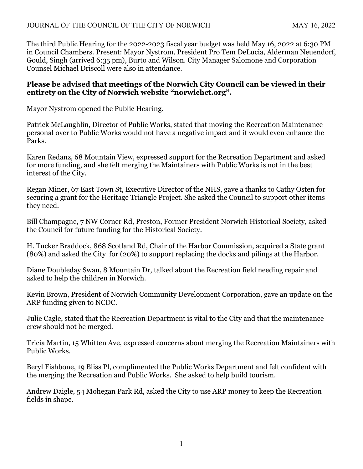The third Public Hearing for the 2022-2023 fiscal year budget was held May 16, 2022 at 6:30 PM in Council Chambers. Present: Mayor Nystrom, President Pro Tem DeLucia, Alderman Neuendorf, Gould, Singh (arrived 6:35 pm), Burto and Wilson. City Manager Salomone and Corporation Counsel Michael Driscoll were also in attendance.

## **Please be advised that meetings of the Norwich City Council can be viewed in their entirety on the City of Norwich website "norwichct.org".**

Mayor Nystrom opened the Public Hearing.

Patrick McLaughlin, Director of Public Works, stated that moving the Recreation Maintenance personal over to Public Works would not have a negative impact and it would even enhance the Parks.

Karen Redanz, 68 Mountain View, expressed support for the Recreation Department and asked for more funding, and she felt merging the Maintainers with Public Works is not in the best interest of the City.

Regan Miner, 67 East Town St, Executive Director of the NHS, gave a thanks to Cathy Osten for securing a grant for the Heritage Triangle Project. She asked the Council to support other items they need.

Bill Champagne, 7 NW Corner Rd, Preston, Former President Norwich Historical Society, asked the Council for future funding for the Historical Society.

H. Tucker Braddock, 868 Scotland Rd, Chair of the Harbor Commission, acquired a State grant (80%) and asked the City for (20%) to support replacing the docks and pilings at the Harbor.

Diane Doubleday Swan, 8 Mountain Dr, talked about the Recreation field needing repair and asked to help the children in Norwich.

Kevin Brown, President of Norwich Community Development Corporation, gave an update on the ARP funding given to NCDC.

Julie Cagle, stated that the Recreation Department is vital to the City and that the maintenance crew should not be merged.

Tricia Martin, 15 Whitten Ave, expressed concerns about merging the Recreation Maintainers with Public Works.

Beryl Fishbone, 19 Bliss Pl, complimented the Public Works Department and felt confident with the merging the Recreation and Public Works. She asked to help build tourism.

Andrew Daigle, 54 Mohegan Park Rd, asked the City to use ARP money to keep the Recreation fields in shape.